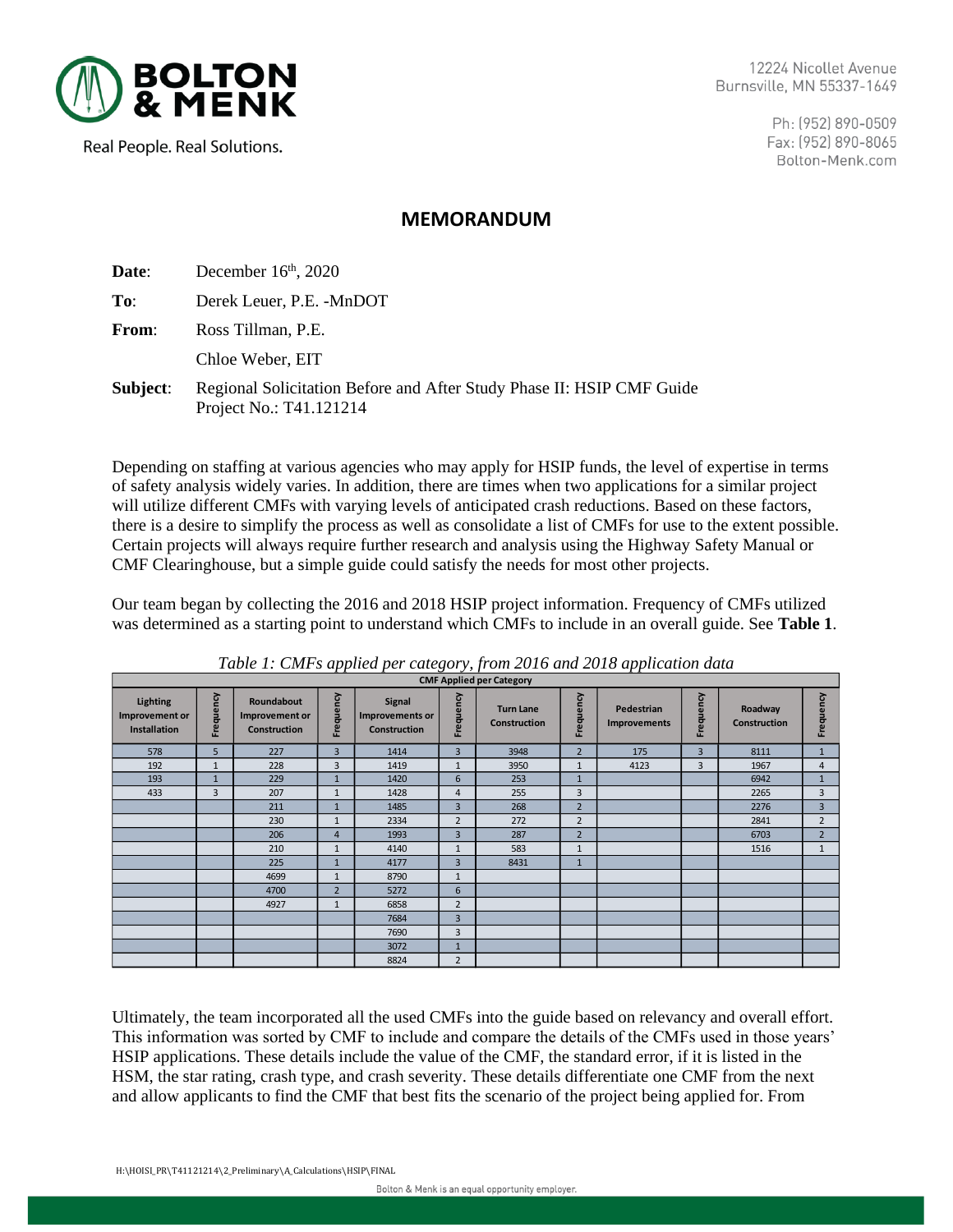

12224 Nicollet Avenue Burnsville, MN 55337-1649

> Ph: (952) 890-0509 Fax: (952) 890-8065 Bolton-Menk.com

Real People. Real Solutions.

## **MEMORANDUM**

| Date:        | December $16th$ , 2020                                                                           |
|--------------|--------------------------------------------------------------------------------------------------|
| To:          | Derek Leuer, P.E. -MnDOT                                                                         |
| <b>From:</b> | Ross Tillman, P.E.                                                                               |
|              | Chloe Weber, EIT                                                                                 |
| Subject:     | Regional Solicitation Before and After Study Phase II: HSIP CMF Guide<br>Project No.: T41.121214 |

Depending on staffing at various agencies who may apply for HSIP funds, the level of expertise in terms of safety analysis widely varies. In addition, there are times when two applications for a similar project will utilize different CMFs with varying levels of anticipated crash reductions. Based on these factors, there is a desire to simplify the process as well as consolidate a list of CMFs for use to the extent possible. Certain projects will always require further research and analysis using the Highway Safety Manual or CMF Clearinghouse, but a simple guide could satisfy the needs for most other projects.

Our team began by collecting the 2016 and 2018 HSIP project information. Frequency of CMFs utilized was determined as a starting point to understand which CMFs to include in an overall guide. See **Table 1**.

| <b>CMF Applied per Category</b>                   |                |                                                     |                |                                                         |                |                                         |                |                            |                |                                |                |  |  |
|---------------------------------------------------|----------------|-----------------------------------------------------|----------------|---------------------------------------------------------|----------------|-----------------------------------------|----------------|----------------------------|----------------|--------------------------------|----------------|--|--|
| Lighting<br>Improvement or<br><b>Installation</b> | Frequency      | Roundabout<br>Improvement or<br><b>Construction</b> | ηcγ<br>Frequer | <b>Signal</b><br>Improvements or<br><b>Construction</b> | Frequency      | <b>Turn Lane</b><br><b>Construction</b> | Frequency      | Pedestrian<br>Improvements | Frequency      | Roadway<br><b>Construction</b> | Frequency      |  |  |
| 578                                               | 5              | 227                                                 | 3              | 1414                                                    | $\overline{3}$ | 3948                                    | $\overline{2}$ | 175                        | $\overline{3}$ | 8111                           | $\mathbf{1}$   |  |  |
| 192                                               | $\mathbf{1}$   | 228                                                 | 3              | 1419                                                    | 1              | 3950                                    | $\mathbf{1}$   | 4123                       | 3              | 1967                           | $\overline{4}$ |  |  |
| 193                                               | $\mathbf{1}$   | 229                                                 | $\overline{1}$ | 1420                                                    | 6              | 253                                     | $\mathbf{1}$   |                            |                | 6942                           | $\mathbf{1}$   |  |  |
| 433                                               | $\overline{3}$ | 207                                                 | $\mathbf{1}$   | 1428                                                    | $\overline{4}$ | 255                                     | 3              |                            |                | 2265                           | 3              |  |  |
|                                                   |                | 211                                                 | $\mathbf{1}$   | 1485                                                    | $\overline{3}$ | 268                                     | $\overline{2}$ |                            |                | 2276                           | $\overline{3}$ |  |  |
|                                                   |                | 230                                                 | $\mathbf{1}$   | 2334                                                    | $\overline{2}$ | 272                                     | $\overline{2}$ |                            |                | 2841                           | $\overline{2}$ |  |  |
|                                                   |                | 206                                                 | 4              | 1993                                                    | $\overline{3}$ | 287                                     | $\overline{2}$ |                            |                | 6703                           | $\overline{2}$ |  |  |
|                                                   |                | 210                                                 | $\mathbf{1}$   | 4140                                                    | $\overline{1}$ | 583                                     | $\mathbf{1}$   |                            |                | 1516                           | $\mathbf{1}$   |  |  |
|                                                   |                | 225                                                 | $\mathbf{1}$   | 4177                                                    | $\overline{3}$ | 8431                                    | $\mathbf{1}$   |                            |                |                                |                |  |  |
|                                                   |                | 4699                                                | $\mathbf{1}$   | 8790                                                    | 1              |                                         |                |                            |                |                                |                |  |  |
|                                                   |                | 4700                                                | $\overline{2}$ | 5272                                                    | 6              |                                         |                |                            |                |                                |                |  |  |
|                                                   |                | 4927                                                | $\mathbf{1}$   | 6858                                                    | $\overline{2}$ |                                         |                |                            |                |                                |                |  |  |
|                                                   |                |                                                     |                | 7684                                                    | $\overline{3}$ |                                         |                |                            |                |                                |                |  |  |
|                                                   |                |                                                     |                | 7690                                                    | 3              |                                         |                |                            |                |                                |                |  |  |
|                                                   |                |                                                     |                | 3072                                                    | 1              |                                         |                |                            |                |                                |                |  |  |
|                                                   |                |                                                     |                | 8824                                                    | $\overline{2}$ |                                         |                |                            |                |                                |                |  |  |

*Table 1: CMFs applied per category, from 2016 and 2018 application data*

Ultimately, the team incorporated all the used CMFs into the guide based on relevancy and overall effort. This information was sorted by CMF to include and compare the details of the CMFs used in those years' HSIP applications. These details include the value of the CMF, the standard error, if it is listed in the HSM, the star rating, crash type, and crash severity. These details differentiate one CMF from the next and allow applicants to find the CMF that best fits the scenario of the project being applied for. From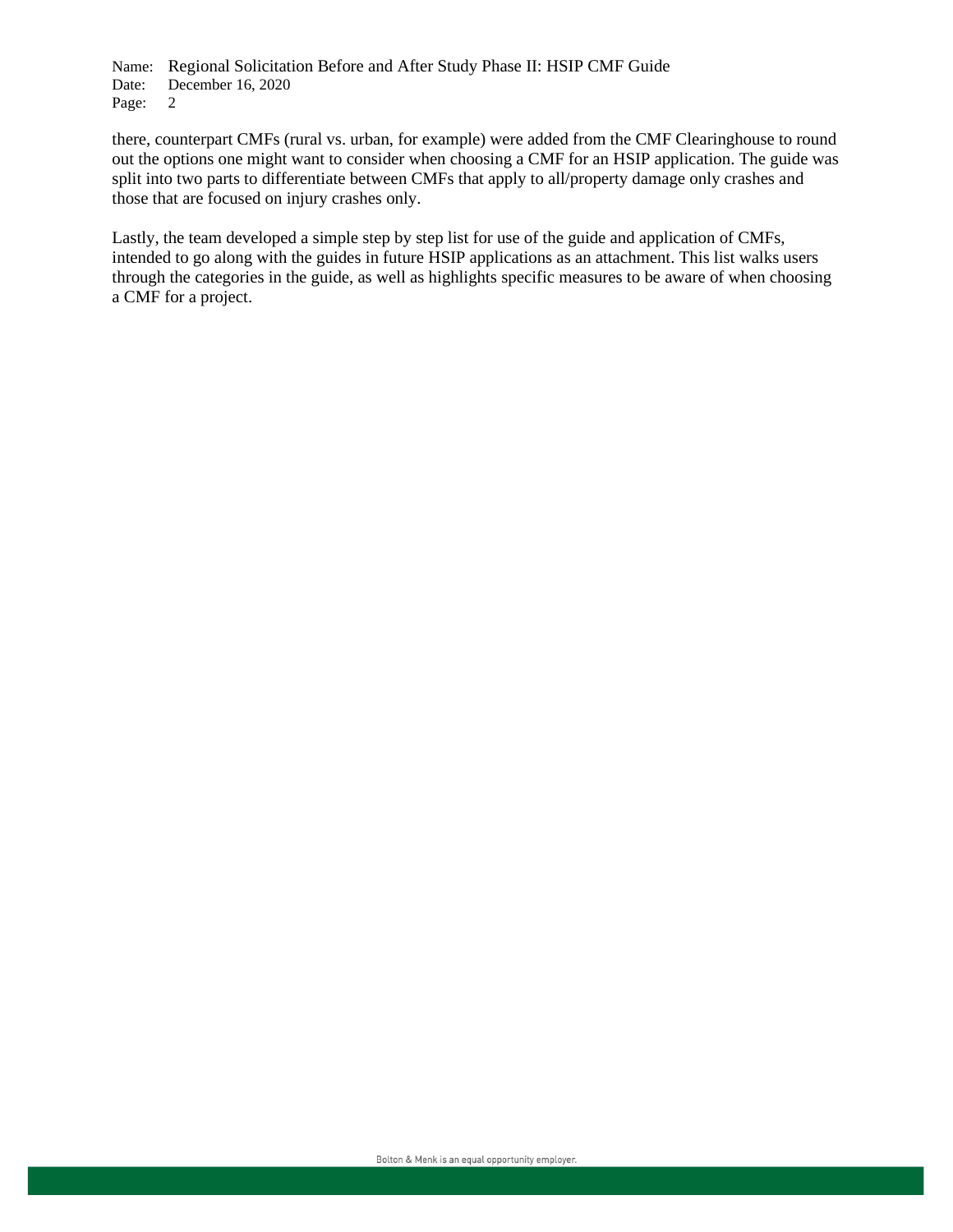Name: Regional Solicitation Before and After Study Phase II: HSIP CMF Guide Date: December 16, 2020 Page: 2

there, counterpart CMFs (rural vs. urban, for example) were added from the CMF Clearinghouse to round out the options one might want to consider when choosing a CMF for an HSIP application. The guide was split into two parts to differentiate between CMFs that apply to all/property damage only crashes and those that are focused on injury crashes only.

Lastly, the team developed a simple step by step list for use of the guide and application of CMFs, intended to go along with the guides in future HSIP applications as an attachment. This list walks users through the categories in the guide, as well as highlights specific measures to be aware of when choosing a CMF for a project.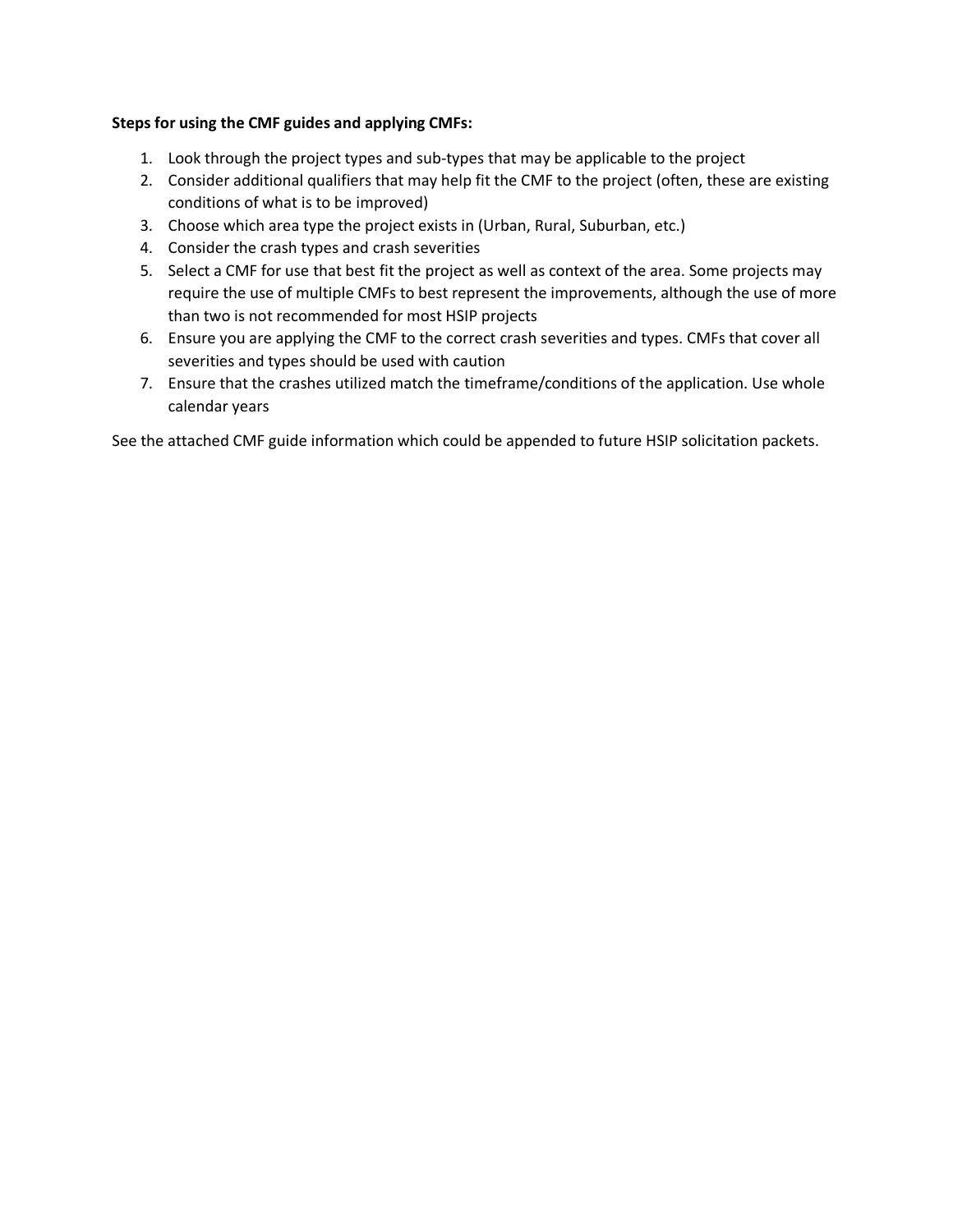## **Steps for using the CMF guides and applying CMFs:**

- 1. Look through the project types and sub-types that may be applicable to the project
- 2. Consider additional qualifiers that may help fit the CMF to the project (often, these are existing conditions of what is to be improved)
- 3. Choose which area type the project exists in (Urban, Rural, Suburban, etc.)
- 4. Consider the crash types and crash severities
- 5. Select a CMF for use that best fit the project as well as context of the area. Some projects may require the use of multiple CMFs to best represent the improvements, although the use of more than two is not recommended for most HSIP projects
- 6. Ensure you are applying the CMF to the correct crash severities and types. CMFs that cover all severities and types should be used with caution
- 7. Ensure that the crashes utilized match the timeframe/conditions of the application. Use whole calendar years

See the attached CMF guide information which could be appended to future HSIP solicitation packets.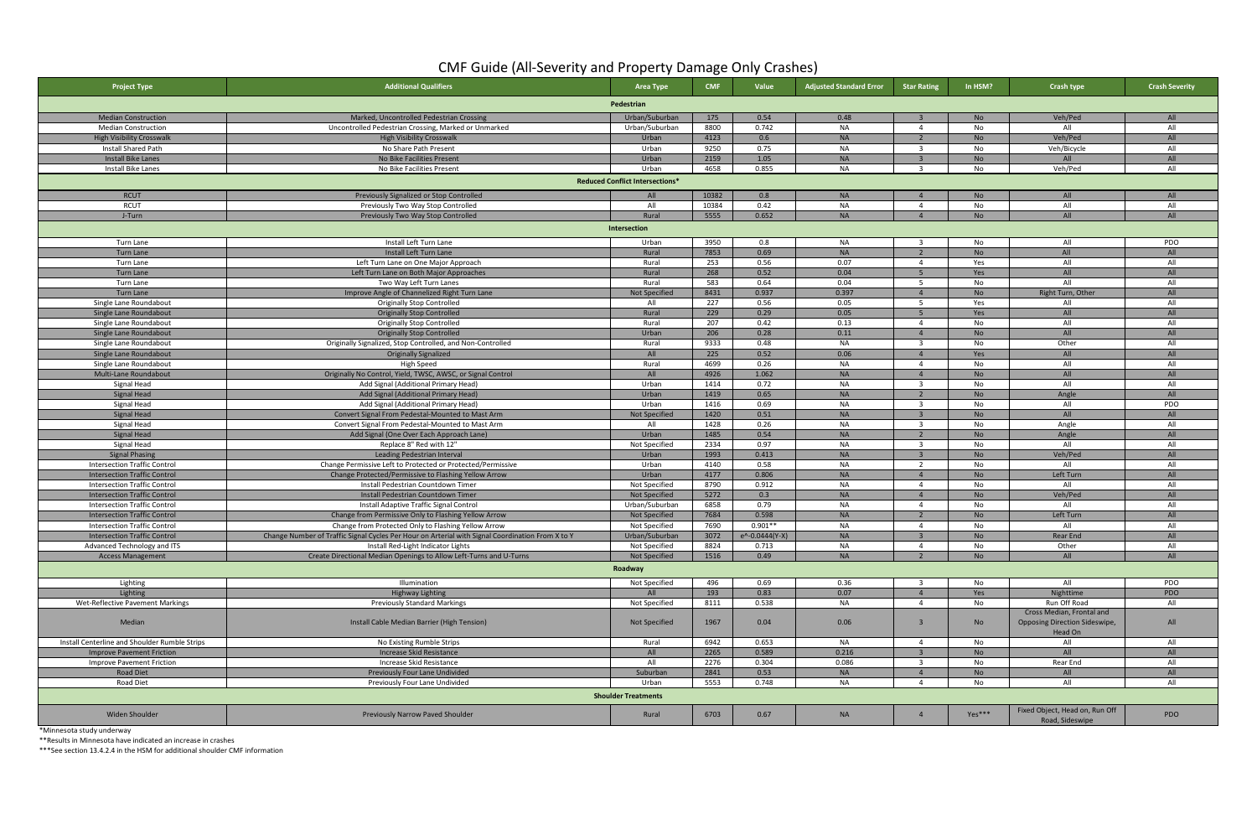| <b>Project Type</b>                           | <b>Additional Qualifiers</b>                                                                     | Area Type                              | <b>CMF</b> | Value                      | <b>Adjusted Standard Error</b> | <b>Star Rating</b>       | In HSM?   | <b>Crash type</b>                                                     | <b>Crash Severity</b> |
|-----------------------------------------------|--------------------------------------------------------------------------------------------------|----------------------------------------|------------|----------------------------|--------------------------------|--------------------------|-----------|-----------------------------------------------------------------------|-----------------------|
|                                               |                                                                                                  | Pedestrian                             |            |                            |                                |                          |           |                                                                       |                       |
| <b>Median Construction</b>                    | Marked, Uncontrolled Pedestrian Crossing                                                         | Urban/Suburban                         | 175        | 0.54                       | 0.48                           |                          | <b>No</b> | Veh/Ped                                                               | AII                   |
| <b>Median Construction</b>                    | Uncontrolled Pedestrian Crossing, Marked or Unmarked                                             | Urban/Suburban                         | 8800       | 0.742                      | <b>NA</b>                      | $\overline{4}$           | No        | All                                                                   | All                   |
| <b>High Visibility Crosswalk</b>              | <b>High Visibility Crosswalk</b>                                                                 | Urban                                  | 4123       | 0.6                        | <b>NA</b>                      | $\overline{2}$           | <b>No</b> | Veh/Ped                                                               | All                   |
| <b>Install Shared Path</b>                    | No Share Path Present                                                                            | Urban                                  | 9250       | 0.75                       | <b>NA</b>                      | $\overline{3}$           | No        | Veh/Bicycle                                                           | All                   |
| <b>Install Bike Lanes</b>                     | No Bike Facilities Present                                                                       | Urban                                  | 2159       | 1.05                       | <b>NA</b>                      |                          | <b>No</b> | All                                                                   | All                   |
| Install Bike Lanes                            | No Bike Facilities Present                                                                       | Urban                                  | 4658       | 0.855                      | <b>NA</b>                      | ્વ                       | No        | Veh/Ped                                                               | All                   |
|                                               |                                                                                                  | <b>Reduced Conflict Intersections*</b> |            |                            |                                |                          |           |                                                                       |                       |
| <b>RCUT</b>                                   | Previously Signalized or Stop Controlled                                                         | All                                    | 10382      | 0.8                        | <b>NA</b>                      |                          | <b>No</b> | All                                                                   | All                   |
| RCUT                                          | Previously Two Way Stop Controlled                                                               | All                                    | 10384      | 0.42                       | <b>NA</b>                      | $\overline{4}$           | No        | All                                                                   | All                   |
| J-Turn                                        | Previously Two Way Stop Controlled                                                               | Rural                                  | 5555       | 0.652                      | <b>NA</b>                      | $\sqrt{4}$               | <b>No</b> | All                                                                   | All                   |
|                                               |                                                                                                  | Intersection                           |            |                            |                                |                          |           |                                                                       |                       |
| Turn Lane                                     | Install Left Turn Lane                                                                           | Urban                                  | 3950       | 0.8                        | <b>NA</b>                      | -3                       | No        | All                                                                   | PDO                   |
| <b>Turn Lane</b>                              | Install Left Turn Lane                                                                           | Rural                                  | 7853       | 0.69                       | <b>NA</b>                      |                          | <b>No</b> | All                                                                   | All                   |
| Turn Lane                                     | Left Turn Lane on One Major Approach                                                             | Rural                                  | 253        | 0.56                       | 0.07                           | $\overline{4}$           | Yes       | All                                                                   | All                   |
| <b>Turn Lane</b>                              | Left Turn Lane on Both Major Approaches                                                          | Rural                                  | 268        | 0.52                       | 0.04                           | 5 <sub>1</sub>           | Yes       | All                                                                   | All                   |
| Turn Lane                                     | Two Way Left Turn Lanes                                                                          | Rural                                  | 583        | 0.64                       | 0.04                           | -5                       | No        | All                                                                   | All                   |
| Turn Lane                                     | Improve Angle of Channelized Right Turn Lane                                                     | <b>Not Specified</b>                   | 8431       | 0.937                      | 0.397                          | $\overline{4}$           | <b>No</b> | Right Turn, Other                                                     | All                   |
| Single Lane Roundabout                        | <b>Originally Stop Controlled</b>                                                                | All                                    | 227        | 0.56                       | 0.05                           | - 5                      | Yes       | All                                                                   | All                   |
| Single Lane Roundabout                        | <b>Originally Stop Controlled</b>                                                                | Rural                                  | 229        | 0.29                       | 0.05                           |                          | Yes       | All                                                                   | All                   |
| Single Lane Roundabout                        | <b>Originally Stop Controlled</b>                                                                | Rural                                  | 207        | 0.42                       | 0.13                           | 4                        | No        | All                                                                   | All                   |
| Single Lane Roundabout                        | <b>Originally Stop Controlled</b>                                                                | Urban                                  | 206        | 0.28                       | 0.11                           | $\Delta$                 | <b>No</b> | All                                                                   | All                   |
| Single Lane Roundabout                        | Originally Signalized, Stop Controlled, and Non-Controlled                                       | Rural                                  | 9333       | 0.48                       | <b>NA</b>                      | $\overline{\mathbf{3}}$  | No        | Other                                                                 | All                   |
| Single Lane Roundabout                        | <b>Originally Signalized</b>                                                                     | All                                    | 225        | 0.52                       | 0.06                           |                          | Yes       | All                                                                   | All                   |
| Single Lane Roundabout                        | High Speed                                                                                       | Rural                                  | 4699       | 0.26                       | <b>NA</b>                      | $\overline{a}$           | No        | All                                                                   | All                   |
| Multi-Lane Roundabout                         | Originally No Control, Yield, TWSC, AWSC, or Signal Control                                      | All                                    | 4926       | 1.062                      | <b>NA</b>                      | $\overline{4}$           | <b>No</b> | All                                                                   | All                   |
| Signal Head                                   | Add Signal (Additional Primary Head)                                                             | Urban                                  | 1414       | 0.72                       | <b>NA</b>                      | $\mathbf{R}$             | No        | All                                                                   | All                   |
| <b>Signal Head</b>                            | Add Signal (Additional Primary Head)                                                             | Urban                                  | 1419       | 0.65                       | <b>NA</b>                      |                          | <b>No</b> | Angle                                                                 | All                   |
| Signal Head                                   | Add Signal (Additional Primary Head)                                                             | Urban                                  | 1416       | 0.69                       | <b>NA</b>                      | 3                        | No        | All                                                                   | PDO                   |
| <b>Signal Head</b>                            | Convert Signal From Pedestal-Mounted to Mast Arm                                                 | <b>Not Specified</b>                   | 1420       | 0.51                       | <b>NA</b>                      |                          | <b>No</b> | All                                                                   | All                   |
| Signal Head                                   | Convert Signal From Pedestal-Mounted to Mast Arm                                                 | All                                    | 1428       | 0.26                       | <b>NA</b>                      | - 3                      | No        | Angle                                                                 | All                   |
| <b>Signal Head</b>                            | Add Signal (One Over Each Approach Lane)                                                         | Urban                                  | 1485       | 0.54                       | <b>NA</b>                      |                          | <b>No</b> | Angle                                                                 | All                   |
| Signal Head                                   | Replace 8" Red with 12"                                                                          | Not Specified                          | 2334       | 0.97                       | <b>NA</b>                      | $\overline{\mathbf{3}}$  | No        | All                                                                   | All                   |
| <b>Signal Phasing</b>                         | Leading Pedestrian Interval                                                                      | Urban                                  | 1993       | 0.413                      | <b>NA</b>                      |                          | <b>No</b> | Veh/Ped                                                               | All                   |
| <b>Intersection Traffic Control</b>           | Change Permissive Left to Protected or Protected/Permissive                                      | Urban                                  | 4140       | 0.58                       | <b>NA</b>                      | -2                       | No        | All                                                                   | All                   |
| <b>Intersection Traffic Control</b>           | Change Protected/Permissive to Flashing Yellow Arrow                                             | Urban                                  | 4177       | 0.806                      | <b>NA</b>                      | $\Delta$                 | <b>No</b> | Left Turn                                                             | All                   |
| <b>Intersection Traffic Control</b>           | Install Pedestrian Countdown Timer                                                               | Not Specified                          | 8790       | 0.912                      | <b>NA</b>                      | $\overline{4}$           | No        | All                                                                   | All                   |
| <b>Intersection Traffic Control</b>           | Install Pedestrian Countdown Timer                                                               | <b>Not Specified</b>                   | 5272       | 0.3                        | <b>NA</b>                      |                          | <b>No</b> | Veh/Ped                                                               | All                   |
| <b>Intersection Traffic Control</b>           | Install Adaptive Traffic Signal Control                                                          | Urban/Suburban                         | 6858       | 0.79                       | <b>NA</b>                      | $\overline{4}$           | No        | All                                                                   | All                   |
| <b>Intersection Traffic Control</b>           | Change from Permissive Only to Flashing Yellow Arrow                                             | <b>Not Specified</b>                   | 7684       | 0.598                      | <b>NA</b>                      | $\overline{2}$           | <b>No</b> | Left Turn                                                             | All                   |
| <b>Intersection Traffic Control</b>           | Change from Protected Only to Flashing Yellow Arrow                                              | Not Specified                          | 7690       | $0.901**$                  | <b>NA</b>                      | $\overline{4}$           | No        | All                                                                   | All                   |
| <b>Intersection Traffic Control</b>           | Change Number of Traffic Signal Cycles Per Hour on Arterial with Signal Coordination From X to Y | Urban/Suburban                         | 3072       | $e^{\Lambda}$ -0.0444(Y-X) | <b>NA</b>                      | $\overline{z}$           | <b>No</b> | Rear End                                                              | All                   |
| Advanced Technology and ITS                   | Install Red-Light Indicator Lights                                                               | Not Specified                          | 8824       | 0.713                      | <b>NA</b>                      | $\overline{4}$           | No        | Other                                                                 | All                   |
| <b>Access Management</b>                      | Create Directional Median Openings to Allow Left-Turns and U-Turns                               | <b>Not Specified</b>                   | 1516       | 0.49                       | <b>NA</b>                      | $\overline{\phantom{a}}$ | <b>No</b> | All                                                                   | All                   |
|                                               |                                                                                                  | Roadway                                |            |                            |                                |                          |           |                                                                       |                       |
| Lighting                                      | Illumination                                                                                     | Not Specified                          | 496        | 0.69                       | 0.36                           |                          | No        | All                                                                   | PDO                   |
| Lighting                                      | Highway Lighting                                                                                 | All                                    | 193        | 0.83                       | 0.07                           | $\overline{4}$           | Yes       | Nighttime                                                             | PDO                   |
| Wet-Reflective Pavement Markings              | <b>Previously Standard Markings</b>                                                              | Not Specified                          | 8111       | 0.538                      | <b>NA</b>                      | $\overline{4}$           | No        | Run Off Road                                                          | All                   |
| Median                                        | Install Cable Median Barrier (High Tension)                                                      | Not Specified                          | 1967       | 0.04                       | 0.06                           | $\overline{3}$           | No        | Cross Median, Frontal and<br>Opposing Direction Sideswipe,<br>Head On | All                   |
| Install Centerline and Shoulder Rumble Strips | No Existing Rumble Strips                                                                        | Rural                                  | 6942       | 0.653                      | NA                             | $\overline{4}$           | No        | All                                                                   | All                   |
| <b>Improve Pavement Friction</b>              | Increase Skid Resistance                                                                         | All                                    | 2265       | 0.589                      | 0.216                          | $\overline{3}$           | <b>No</b> | All                                                                   | All                   |
| Improve Pavement Friction                     | Increase Skid Resistance                                                                         | All                                    | 2276       | 0.304                      | 0.086                          |                          | No        | Rear End                                                              | All                   |
| <b>Road Diet</b>                              | Previously Four Lane Undivided                                                                   | Suburban                               | 2841       | 0.53                       | <b>NA</b>                      | $\overline{4}$           | <b>No</b> | All                                                                   | All                   |
| Road Diet                                     | Previously Four Lane Undivided                                                                   | Urban                                  | 5553       | 0.748                      | <b>NA</b>                      | $\overline{a}$           | No        | All                                                                   | All                   |
| <b>Shoulder Treatments</b>                    |                                                                                                  |                                        |            |                            |                                |                          |           |                                                                       |                       |
| Widen Shoulder                                | <b>Previously Narrow Paved Shoulder</b>                                                          | Rural                                  | 6703       | 0.67                       | <b>NA</b>                      | $\overline{4}$           | Yes***    | Fixed Object, Head on, Run Off<br>Road, Sideswipe                     | <b>PDO</b>            |

\*Minnesota study underway

\*\*Results in Minnesota have indicated an increase in crashes

\*\*\*See section 13.4.2.4 in the HSM for additional shoulder CMF information

## CMF Guide (All-Severity and Property Damage Only Crashes)